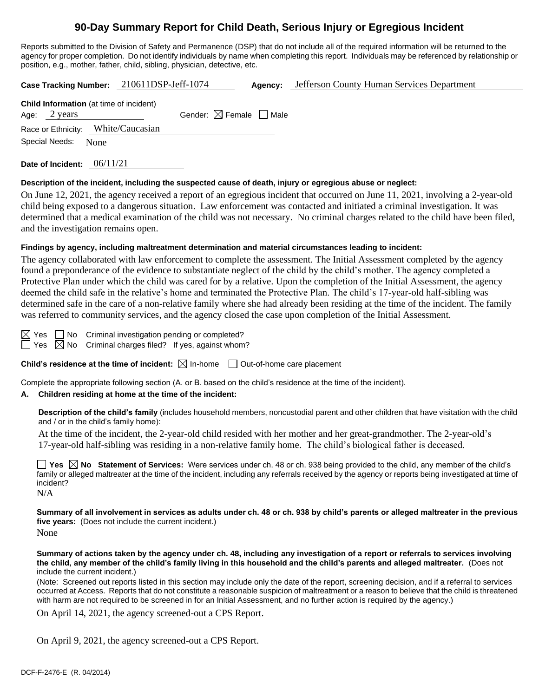# **90-Day Summary Report for Child Death, Serious Injury or Egregious Incident**

Reports submitted to the Division of Safety and Permanence (DSP) that do not include all of the required information will be returned to the agency for proper completion. Do not identify individuals by name when completing this report. Individuals may be referenced by relationship or position, e.g., mother, father, child, sibling, physician, detective, etc.

| Case Tracking Number: 210611DSP-Jeff-1074                                |                                        | Agency: | Jefferson County Human Services Department |
|--------------------------------------------------------------------------|----------------------------------------|---------|--------------------------------------------|
| <b>Child Information</b> (at time of incident)<br>Age: $2 \text{ years}$ | Gender: $\boxtimes$ Female $\Box$ Male |         |                                            |
| Race or Ethnicity: White/Caucasian                                       |                                        |         |                                            |
| Special Needs:<br>None                                                   |                                        |         |                                            |
|                                                                          |                                        |         |                                            |

**Date of Incident:** 06/11/21

#### **Description of the incident, including the suspected cause of death, injury or egregious abuse or neglect:**

On June 12, 2021, the agency received a report of an egregious incident that occurred on June 11, 2021, involving a 2-year-old child being exposed to a dangerous situation. Law enforcement was contacted and initiated a criminal investigation. It was determined that a medical examination of the child was not necessary. No criminal charges related to the child have been filed, and the investigation remains open.

## **Findings by agency, including maltreatment determination and material circumstances leading to incident:**

The agency collaborated with law enforcement to complete the assessment. The Initial Assessment completed by the agency found a preponderance of the evidence to substantiate neglect of the child by the child's mother. The agency completed a Protective Plan under which the child was cared for by a relative. Upon the completion of the Initial Assessment, the agency deemed the child safe in the relative's home and terminated the Protective Plan. The child's 17-year-old half-sibling was determined safe in the care of a non-relative family where she had already been residing at the time of the incident. The family was referred to community services, and the agency closed the case upon completion of the Initial Assessment.

 $\boxtimes$  Yes  $\Box$  No Criminal investigation pending or completed?  $\Box$  Yes  $\boxtimes$  No Criminal charges filed? If yes, against whom?

**Child's residence at the time of incident:**  $\boxtimes$  In-home  $\Box$  Out-of-home care placement

Complete the appropriate following section (A. or B. based on the child's residence at the time of the incident).

## **A. Children residing at home at the time of the incident:**

**Description of the child's family** (includes household members, noncustodial parent and other children that have visitation with the child and / or in the child's family home):

At the time of the incident, the 2-year-old child resided with her mother and her great-grandmother. The 2-year-old's 17-year-old half-sibling was residing in a non-relative family home. The child's biological father is deceased.

**Yes No Statement of Services:** Were services under ch. 48 or ch. 938 being provided to the child, any member of the child's family or alleged maltreater at the time of the incident, including any referrals received by the agency or reports being investigated at time of incident?

N/A

**Summary of all involvement in services as adults under ch. 48 or ch. 938 by child's parents or alleged maltreater in the previous five years:** (Does not include the current incident.)

None

**Summary of actions taken by the agency under ch. 48, including any investigation of a report or referrals to services involving the child, any member of the child's family living in this household and the child's parents and alleged maltreater.** (Does not include the current incident.)

(Note: Screened out reports listed in this section may include only the date of the report, screening decision, and if a referral to services occurred at Access. Reports that do not constitute a reasonable suspicion of maltreatment or a reason to believe that the child is threatened with harm are not required to be screened in for an Initial Assessment, and no further action is required by the agency.)

On April 14, 2021, the agency screened-out a CPS Report.

On April 9, 2021, the agency screened-out a CPS Report.